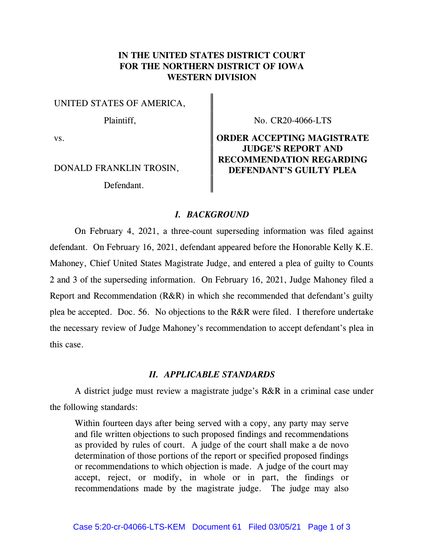## IN THE UNITED STATES DISTRICT COURT FOR THE NORTHERN DISTRICT OF IOWA WESTERN DIVISION

UNITED STATES OF AMERICA,

Defendant.

Plaintiff,  $\parallel$  No. CR20-4066-LTS

# vs. **CONSERVER ACCEPTING MAGISTRATE** JUDGE'S REPORT AND RECOMMENDATION REGARDING DONALD FRANKLIN TROSIN, DEFENDANT'S GUILTY PLEA

### I. BACKGROUND

 On February 4, 2021, a three-count superseding information was filed against defendant. On February 16, 2021, defendant appeared before the Honorable Kelly K.E. Mahoney, Chief United States Magistrate Judge, and entered a plea of guilty to Counts 2 and 3 of the superseding information. On February 16, 2021, Judge Mahoney filed a Report and Recommendation (R&R) in which she recommended that defendant's guilty plea be accepted. Doc. 56. No objections to the R&R were filed. I therefore undertake the necessary review of Judge Mahoney's recommendation to accept defendant's plea in this case.

### II. APPLICABLE STANDARDS

 A district judge must review a magistrate judge's R&R in a criminal case under the following standards:

Within fourteen days after being served with a copy, any party may serve and file written objections to such proposed findings and recommendations as provided by rules of court. A judge of the court shall make a de novo determination of those portions of the report or specified proposed findings or recommendations to which objection is made. A judge of the court may accept, reject, or modify, in whole or in part, the findings or recommendations made by the magistrate judge. The judge may also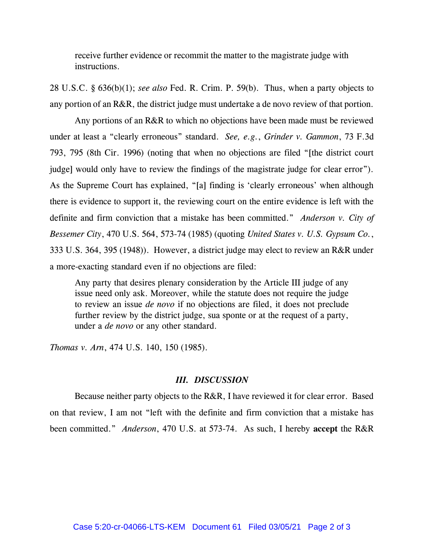receive further evidence or recommit the matter to the magistrate judge with instructions.

28 U.S.C. § 636(b)(1); see also Fed. R. Crim. P. 59(b). Thus, when a party objects to any portion of an R&R, the district judge must undertake a de novo review of that portion.

 Any portions of an R&R to which no objections have been made must be reviewed under at least a "clearly erroneous" standard. See, e.g., Grinder v. Gammon, 73 F.3d 793, 795 (8th Cir. 1996) (noting that when no objections are filed "[the district court judge] would only have to review the findings of the magistrate judge for clear error"). As the Supreme Court has explained, "[a] finding is 'clearly erroneous' when although there is evidence to support it, the reviewing court on the entire evidence is left with the definite and firm conviction that a mistake has been committed." Anderson v. City of Bessemer City, 470 U.S. 564, 573-74 (1985) (quoting United States v. U.S. Gypsum Co., 333 U.S. 364, 395 (1948)). However, a district judge may elect to review an R&R under a more-exacting standard even if no objections are filed:

Any party that desires plenary consideration by the Article III judge of any issue need only ask. Moreover, while the statute does not require the judge to review an issue de novo if no objections are filed, it does not preclude further review by the district judge, sua sponte or at the request of a party, under a *de novo* or any other standard.

Thomas v. Arn, 474 U.S. 140, 150 (1985).

#### III. DISCUSSION

 Because neither party objects to the R&R, I have reviewed it for clear error. Based on that review, I am not "left with the definite and firm conviction that a mistake has been committed." Anderson, 470 U.S. at 573-74. As such, I hereby accept the R&R